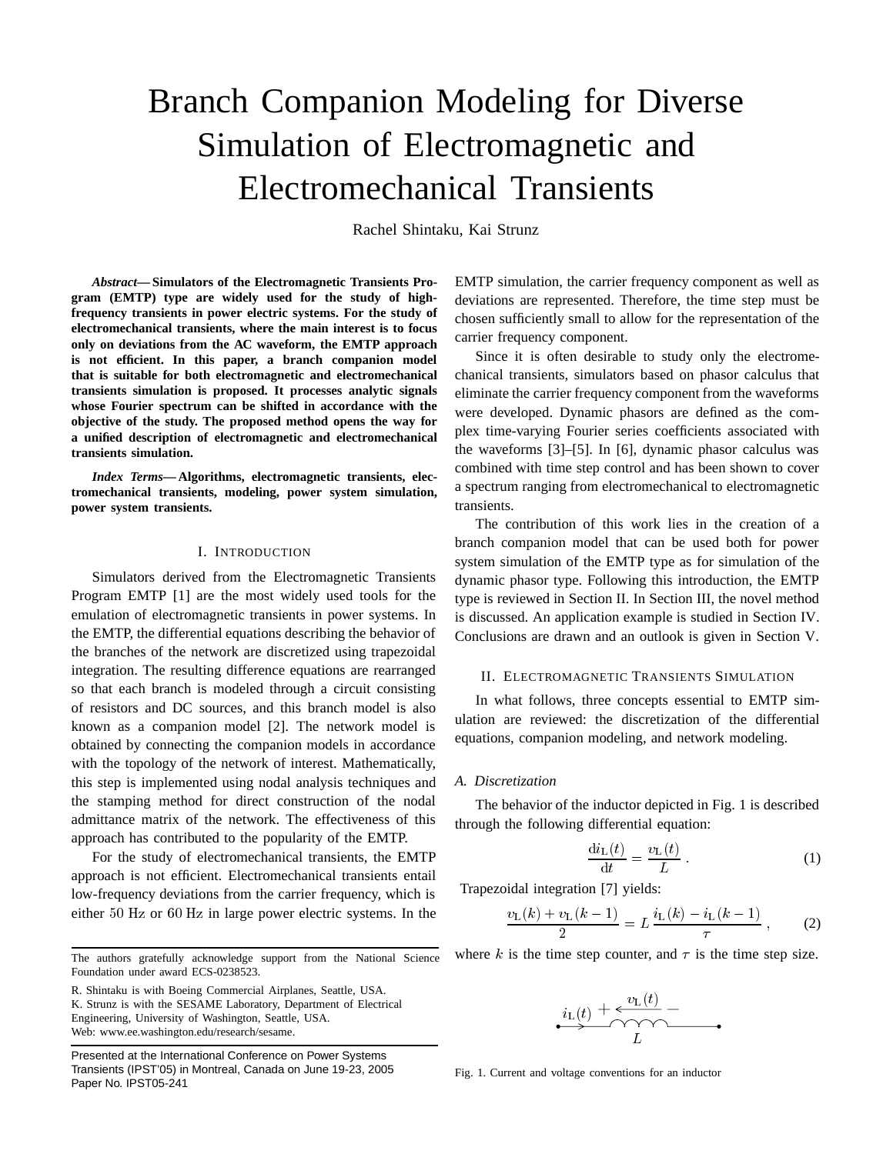# Branch Companion Modeling for Diverse Simulation of Electromagnetic and Electromechanical Transients

Rachel Shintaku, Kai Strunz

*Abstract***— Simulators of the Electromagnetic Transients Program (EMTP) type are widely used for the study of highfrequency transients in power electric systems. For the study of electromechanical transients, where the main interest is to focus only on deviations from the AC waveform, the EMTP approach is not efficient. In this paper, a branch companion model that is suitable for both electromagnetic and electromechanical transients simulation is proposed. It processes analytic signals whose Fourier spectrum can be shifted in accordance with the objective of the study. The proposed method opens the way for a unified description of electromagnetic and electromechanical transients simulation.**

*Index Terms***— Algorithms, electromagnetic transients, electromechanical transients, modeling, power system simulation, power system transients.**

## I. INTRODUCTION

Simulators derived from the Electromagnetic Transients Program EMTP [1] are the most widely used tools for the emulation of electromagnetic transients in power systems. In the EMTP, the differential equations describing the behavior of the branches of the network are discretized using trapezoidal integration. The resulting difference equations are rearranged so that each branch is modeled through a circuit consisting of resistors and DC sources, and this branch model is also known as a companion model [2]. The network model is obtained by connecting the companion models in accordance with the topology of the network of interest. Mathematically, this step is implemented using nodal analysis techniques and the stamping method for direct construction of the nodal admittance matrix of the network. The effectiveness of this approach has contributed to the popularity of the EMTP.

For the study of electromechanical transients, the EMTP approach is not efficient. Electromechanical transients entail low-frequency deviations from the carrier frequency, which is either 50 Hz or 60 Hz in large power electric systems. In the

The authors gratefully acknowledge support from the National Science Foundation under award ECS-0238523.

EMTP simulation, the carrier frequency component as well as deviations are represented. Therefore, the time step must be chosen sufficiently small to allow for the representation of the carrier frequency component.

Since it is often desirable to study only the electromechanical transients, simulators based on phasor calculus that eliminate the carrier frequency component from the waveforms were developed. Dynamic phasors are defined as the complex time-varying Fourier series coefficients associated with the waveforms [3]–[5]. In [6], dynamic phasor calculus was combined with time step control and has been shown to cover a spectrum ranging from electromechanical to electromagnetic transients.

The contribution of this work lies in the creation of a branch companion model that can be used both for power system simulation of the EMTP type as for simulation of the dynamic phasor type. Following this introduction, the EMTP type is reviewed in Section II. In Section III, the novel method is discussed. An application example is studied in Section IV. Conclusions are drawn and an outlook is given in Section V.

## II. ELECTROMAGNETIC TRANSIENTS SIMULATION

In what follows, three concepts essential to EMTP simulation are reviewed: the discretization of the differential equations, companion modeling, and network modeling.

# *A. Discretization*

The behavior of the inductor depicted in Fig. 1 is described through the following differential equation:

$$
\frac{\mathrm{d}i_{\mathrm{L}}(t)}{\mathrm{d}t} = \frac{v_{\mathrm{L}}(t)}{L} \,. \tag{1}
$$

Trapezoidal integration [7] yields:

$$
\frac{v_{\rm L}(k) + v_{\rm L}(k-1)}{2} = L \frac{i_{\rm L}(k) - i_{\rm L}(k-1)}{\tau},\qquad(2)
$$

where k is the time step counter, and  $\tau$  is the time step size.

$$
\underbrace{\cdot i_{\mathrm{L}}(t) + \underbrace{\cdot v_{\mathrm{L}}(t)}_{L} - \cdot}_{L}
$$

Fig. 1. Current and voltage conventions for an inductor

R. Shintaku is with Boeing Commercial Airplanes, Seattle, USA. K. Strunz is with the SESAME Laboratory, Department of Electrical Engineering, University of Washington, Seattle, USA. Web: www.ee.washington.edu/research/sesame.

Presented at the International Conference on Power Systems Transients (IPST'05) in Montreal, Canada on June 19-23, 2005 Paper No. IPST05-241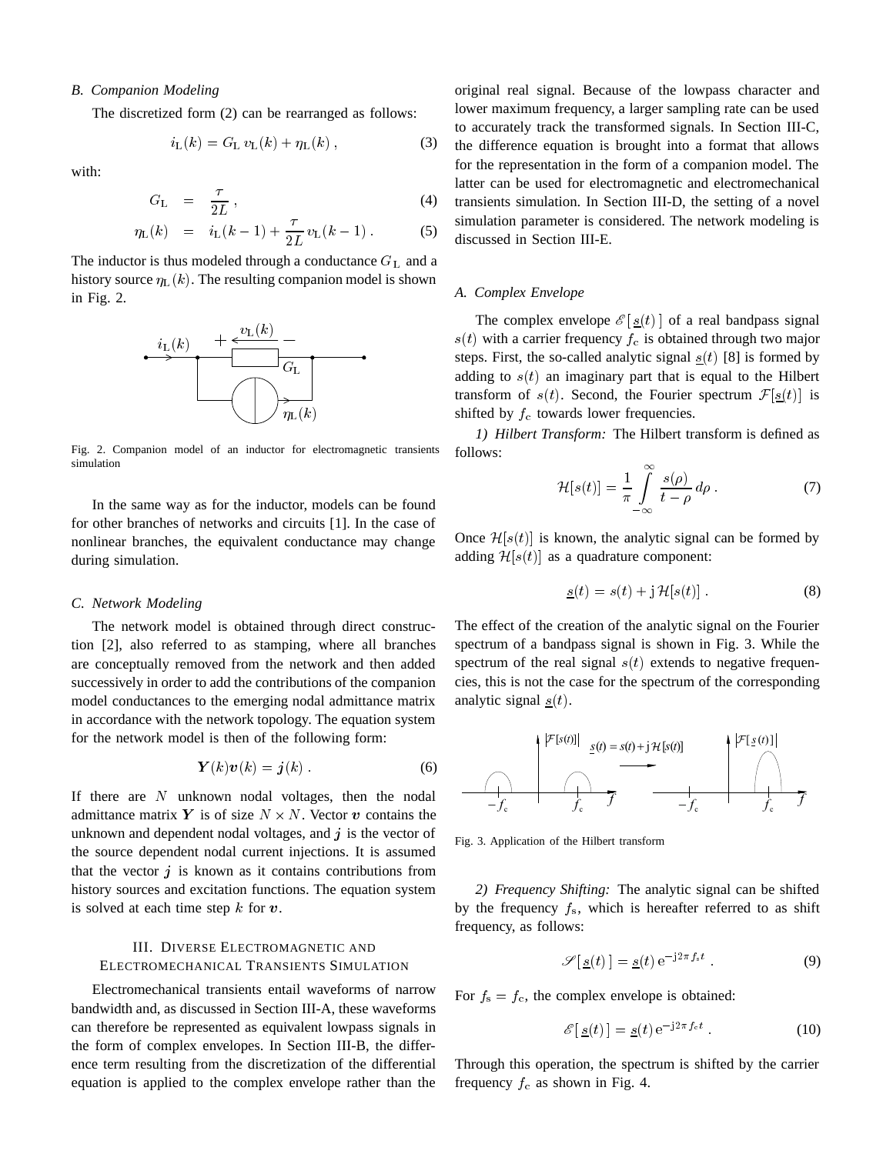#### *B. Companion Modeling*

The discretized form (2) can be rearranged as follows:

$$
i_{\rm L}(k) = G_{\rm L} v_{\rm L}(k) + \eta_{\rm L}(k) , \qquad (3)
$$

with:

$$
G_{\rm L} = \frac{7}{2L},
$$
\n
$$
\eta_{\rm L}(k) = i_{\rm L}(k-1) + \frac{7}{2L} v_{\rm L}(k-1).
$$
\n(4)

The inductor is thus modeled through a conductance  $G_L$  and a history source  $\eta_L(k)$ . The resulting companion model is shown in Fig. 2.



Fig. 2. Companion model of an inductor for electromagnetic transients simulation

In the same way as for the inductor, models can be found for other branches of networks and circuits [1]. In the case of nonlinear branches, the equivalent conductance may change during simulation.

#### *C. Network Modeling*

The network model is obtained through direct construction [2], also referred to as stamping, where all branches are conceptually removed from the network and then added successively in order to add the contributions of the companion model conductances to the emerging nodal admittance matrix in accordance with the network topology. The equation system for the network model is then of the following form:

$$
\mathbf{Y}(k)\mathbf{v}(k) = \mathbf{j}(k) \tag{6}
$$

If there are  $N$  unknown nodal voltages, then the nodal admittance matrix Y is of size  $N \times N$ . Vector v contains the unknown and dependent nodal voltages, and  $j$  is the vector of the source dependent nodal current injections. It is assumed that the vector  $j$  is known as it contains contributions from history sources and excitation functions. The equation system is solved at each time step  $k$  for  $v$ .

# III. DIVERSE ELECTROMAGNETIC AND ELECTROMECHANICAL TRANSIENTS SIMULATION

Electromechanical transients entail waveforms of narrow bandwidth and, as discussed in Section III-A, these waveforms can therefore be represented as equivalent lowpass signals in the form of complex envelopes. In Section III-B, the difference term resulting from the discretization of the differential equation is applied to the complex envelope rather than the original real signal. Because of the lowpass character and lower maximum frequency, a larger sampling rate can be used to accurately track the transformed signals. In Section III-C, the difference equation is brought into a format that allows for the representation in the form of a companion model. The latter can be used for electromagnetic and electromechanical transients simulation. In Section III-D, the setting of a novel simulation parameter is considered. The network modeling is discussed in Section III-E.

# *A. Complex Envelope*

The complex envelope  $\mathscr{E}[\underline{s}(t)]$  of a real bandpass signal  $s(t)$  with a carrier frequency  $f_c$  is obtained through two major steps. First, the so-called analytic signal  $s(t)$  [8] is formed by adding to  $s(t)$  an imaginary part that is equal to the Hilbert transform of  $s(t)$ . Second, the Fourier spectrum  $\mathcal{F}[\underline{s}(t)]$  is shifted by  $f_c$  towards lower frequencies.

*1) Hilbert Transform:* The Hilbert transform is defined as follows:

$$
\mathcal{H}[s(t)] = \frac{1}{\pi} \int_{-\infty}^{\infty} \frac{s(\rho)}{t - \rho} d\rho. \tag{7}
$$

Once  $\mathcal{H}[s(t)]$  is known, the analytic signal can be formed by adding  $\mathcal{H}[s(t)]$  as a quadrature component:

$$
\underline{s}(t) = s(t) + j \mathcal{H}[s(t)]. \tag{8}
$$

The effect of the creation of the analytic signal on the Fourier spectrum of a bandpass signal is shown in Fig. 3. While the spectrum of the real signal  $s(t)$  extends to negative frequencies, this is not the case for the spectrum of the corresponding analytic signal  $s(t)$ .



Fig. 3. Application of the Hilbert transform

*2) Frequency Shifting:* The analytic signal can be shifted by the frequency  $f_s$ , which is hereafter referred to as shift frequency, as follows:

$$
\mathcal{S}\left[\,\underline{s}(t)\,\right] = \underline{s}(t)\,\mathrm{e}^{-\mathrm{j}2\pi f_{\mathrm{s}}t} \tag{9}
$$

For  $f_s = f_c$ , the complex envelope is obtained:

$$
\mathcal{E}\left[\underline{s}(t)\right] = \underline{s}(t) e^{-j2\pi f_c t} \,. \tag{10}
$$

Through this operation, the spectrum is shifted by the carrier frequency  $f_c$  as shown in Fig. 4.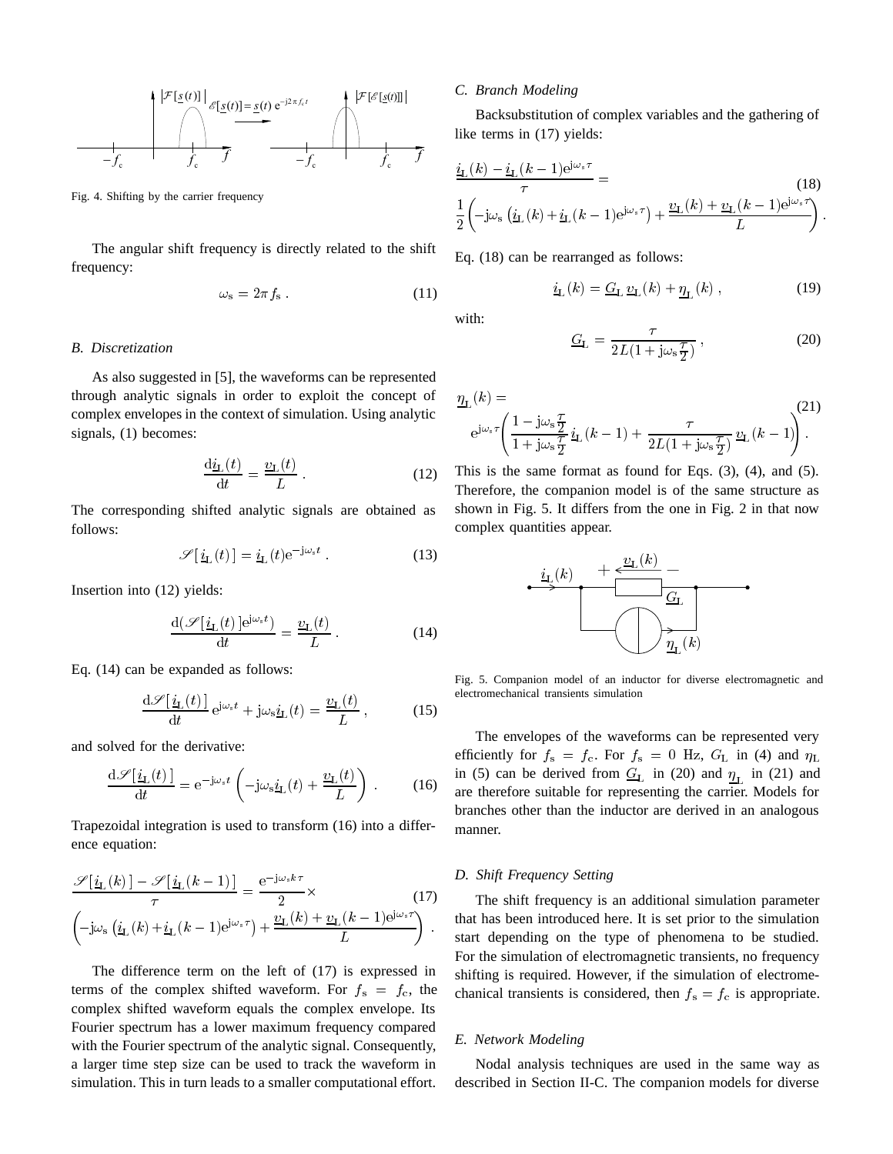

Fig. 4. Shifting by the carrier frequency

The angular shift frequency is directly related to the shift frequency:

$$
\omega_{\rm s} = 2\pi f_{\rm s} \,. \tag{11}
$$

#### *B. Discretization*

As also suggested in [5], the waveforms can be represented through analytic signals in order to exploit the concept of complex envelopes in the context of simulation. Using analytic signals, (1) becomes:

$$
\frac{\mathrm{d}\underline{i}_{\mathrm{L}}(t)}{\mathrm{d}t} = \frac{\underline{v}_{\mathrm{L}}(t)}{L} \,. \tag{12}
$$

The corresponding shifted analytic signals are obtained as follows:

$$
\mathcal{S}[\underline{i}_{\mathrm{L}}(t)] = \underline{i}_{\mathrm{L}}(t) e^{-j\omega_{\mathrm{s}}t} \,. \tag{13}
$$

Insertion into (12) yields:

$$
\frac{\mathrm{d}(\mathscr{S}[\underline{i}_{\mathrm{L}}(t)]\mathrm{e}^{\mathrm{j}\omega_{\mathrm{s}}t})}{\mathrm{d}t} = \frac{\underline{v}_{\mathrm{L}}(t)}{L}.
$$
\n(14)

Eq. (14) can be expanded as follows:

$$
\frac{\mathrm{d}\mathscr{S}[\underline{i_{\mathrm{L}}}(t)]}{\mathrm{d}t}\,\mathrm{e}^{\mathrm{j}\omega_{\mathrm{s}}t}+\mathrm{j}\omega_{\mathrm{s}}\underline{i_{\mathrm{L}}}(t)=\frac{v_{\mathrm{L}}(t)}{L}\,,\qquad(15)
$$

and solved for the derivative:

$$
\frac{\mathrm{d}\mathscr{S}[\,\underline{i}_{\mathrm{L}}(t)\,]}{\mathrm{d}t} = \mathrm{e}^{-\mathrm{j}\,\omega_{\mathrm{s}}t} \left(-\mathrm{j}\omega_{\mathrm{s}}\underline{i}_{\mathrm{L}}(t) + \frac{\underline{v}_{\mathrm{L}}(t)}{L}\right) \,. \tag{16}
$$

Trapezoidal integration is used to transform (16) into a difference equation:

$$
\frac{\mathscr{S}[\underline{i}_{\mathrm{L}}(k)] - \mathscr{S}[\underline{i}_{\mathrm{L}}(k-1)]}{\tau} = \frac{\mathrm{e}^{-\mathrm{j}\omega_{\mathrm{s}}k\tau}}{2} \times \qquad (17)
$$

$$
\left(-\mathrm{j}\omega_{\mathrm{s}}\left(\underline{i}_{\mathrm{L}}(k) + \underline{i}_{\mathrm{L}}(k-1)\mathrm{e}^{\mathrm{j}\omega_{\mathrm{s}}\tau}\right) + \frac{\underline{v}_{\mathrm{L}}(k) + \underline{v}_{\mathrm{L}}(k-1)\mathrm{e}^{\mathrm{j}\omega_{\mathrm{s}}\tau}}{L}\right).
$$

The difference term on the left of (17) is expressed in terms of the complex shifted waveform. For  $f_s = f_c$ , the complex shifted waveform equals the complex envelope. Its Fourier spectrum has a lower maximum frequency compared with the Fourier spectrum of the analytic signal. Consequently, a larger time step size can be used to track the waveform in simulation. This in turn leads to a smaller computational effort.

#### *C. Branch Modeling*

Backsubstitution of complex variables and the gathering of like terms in (17) yields:

$$
\frac{i_{\rm L}(k) - i_{\rm L}(k-1)e^{j\omega_{\rm s}\tau}}{\tau} = \frac{1}{2}\left(-j\omega_{\rm s}\left(i_{\rm L}(k) + i_{\rm L}(k-1)e^{j\omega_{\rm s}\tau}\right) + \frac{v_{\rm L}(k) + v_{\rm L}(k-1)e^{j\omega_{\rm s}\tau}}{L}\right).
$$
\n(18)

Eq. (18) can be rearranged as follows:

$$
\underline{i}_{\mathrm{L}}(k) = \underline{G}_{\mathrm{L}} \underline{v}_{\mathrm{L}}(k) + \underline{\eta}_{\mathrm{L}}(k) , \qquad (19)
$$

with:

$$
\underline{G}_{\rm L} = \frac{\tau}{2L(1 + j\omega_s \frac{\tau}{2})},\tag{20}
$$

$$
\underline{\eta}_{\mathcal{L}}(k) = \begin{cases} \n\frac{\eta}{2} & \text{if } k = 1, \quad \text{if } k = 1, \quad \text{if } k = 1, \quad \text{if } k = 1, \quad \text{if } k = 1, \quad \text{if } k = 1, \quad \text{if } k = 1, \quad \text{if } k = 1, \quad \text{if } k = 1, \quad \text{if } k = 1, \quad \text{if } k = 1, \quad \text{if } k = 1, \quad \text{if } k = 1, \quad \text{if } k = 1, \quad \text{if } k = 1, \quad \text{if } k = 1, \quad \text{if } k = 1, \quad \text{if } k = 1, \quad \text{if } k = 1, \quad \text{if } k = 1, \quad \text{if } k = 1, \quad \text{if } k = 1, \quad \text{if } k = 1, \quad \text{if } k = 1, \quad \text{if } k = 1, \quad \text{if } k = 1, \quad \text{if } k = 1, \quad \text{if } k = 1, \quad \text{if } k = 1, \quad \text{if } k = 1, \quad \text{if } k = 1, \quad \text{if } k = 1, \quad \text{if } k = 1, \quad \text{if } k = 1, \quad \text{if } k = 1, \quad \text{if } k = 1, \quad \text{if } k = 1, \quad \text{if } k = 1, \quad \text{if } k = 1, \quad \text{if } k = 1, \quad \text{if } k = 1, \quad \text{if } k = 1, \quad \text{if } k = 1, \quad \text{if } k = 1, \quad \text{if } k = 1, \quad \text{if } k = 1, \quad \text{if } k = 1, \quad \text{if } k = 1, \quad \text{if } k = 1, \quad \text{if } k = 1, \quad \text{if } k = 1, \quad \text{if } k = 1, \quad \text{if } k = 1, \quad \text{if } k = 1, \quad \text{if } k = 1, \quad \text{if } k = 1, \quad \text{if } k = 1, \quad \text{if } k = 1, \quad \text{if } k = 1, \quad \text{if } k = 1, \quad \text{if } k =
$$

This is the same format as found for Eqs. (3), (4), and (5). Therefore, the companion model is of the same structure as shown in Fig. 5. It differs from the one in Fig. 2 in that now complex quantities appear.



Fig. 5. Companion model of an inductor for diverse electromagnetic and electromechanical transients simulation

The envelopes of the waveforms can be represented very efficiently for  $f_s = f_c$ . For  $f_s = 0$  Hz,  $G_L$  in (4) and  $\eta_L$ in (5) can be derived from  $G_{\text{L}}$  in (20) and  $\eta_{\text{L}}$  in (21) and are therefore suitable for representing the carrier. Models for branches other than the inductor are derived in an analogous manner.

#### *D. Shift Frequency Setting*

 $\frac{(k-1)e^{j\omega_s\tau}}{L}$  that has been introduced here. It is set prior to the simulation start depending on the type of phenomena to be studied. The shift frequency is an additional simulation parameter that has been introduced here. It is set prior to the simulation For the simulation of electromagnetic transients, no frequency shifting is required. However, if the simulation of electromechanical transients is considered, then  $f_s = f_c$  is appropriate.

#### *E. Network Modeling*

Nodal analysis techniques are used in the same way as described in Section II-C. The companion models for diverse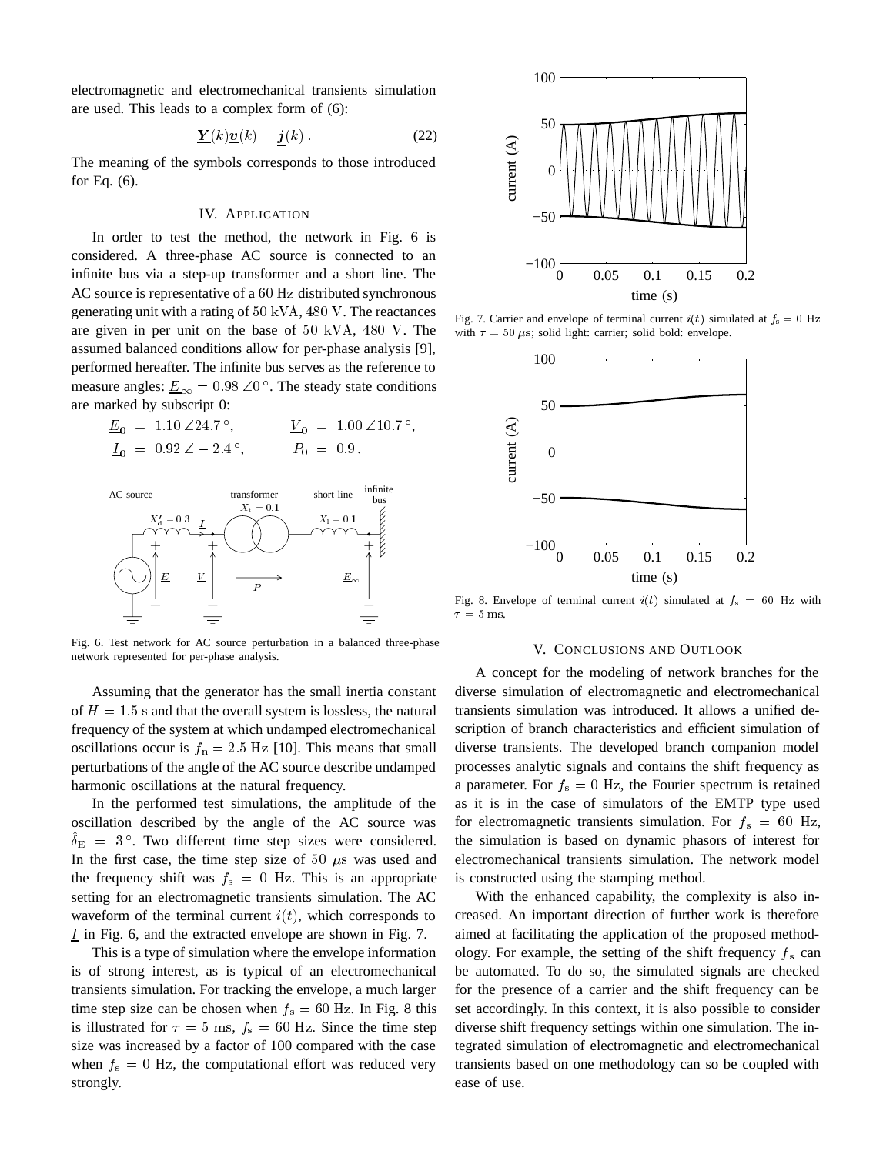electromagnetic and electromechanical transients simulation are used. This leads to a complex form of (6):

$$
\underline{\boldsymbol{Y}}(k)\underline{\boldsymbol{v}}(k) = \underline{\boldsymbol{j}}(k) \tag{22}
$$

The meaning of the symbols corresponds to those introduced for Eq. (6).

## IV. APPLICATION

In order to test the method, the network in Fig. 6 is considered. A three-phase AC source is connected to an infinite bus via a step-up transformer and a short line. The AC source is representative of a 60 Hz distributed synchronous generating unit with a rating of 50 kVA, 480 V. The reactances are given in per unit on the base of 50 kVA, 480 V. The assumed balanced conditions allow for per-phase analysis [9], performed hereafter. The infinite bus serves as the reference to measure angles:  $\underline{E}_{\infty} = 0.98 \angle 0^{\circ}$ . The steady state conditions are marked by subscript 0:





Fig. 6. Test network for AC source perturbation in a balanced three-phase network represented for per-phase analysis.

Assuming that the generator has the small inertia constant of  $H = 1.5$  s and that the overall system is lossless, the natural frequency of the system at which undamped electromechanical oscillations occur is  $f_n = 2.5$  Hz [10]. This means that small perturbations of the angle of the AC source describe undamped harmonic oscillations at the natural frequency.

In the performed test simulations, the amplitude of the oscillation described by the angle of the AC source was  $\delta_{\rm E}$  = 3°. Two different time step sizes were considered. In the first case, the time step size of 50  $\mu$ s was used and the frequency shift was  $f_s = 0$  Hz. This is an appropriate setting for an electromagnetic transients simulation. The AC waveform of the terminal current  $i(t)$ , which corresponds to <sup>I</sup> in Fig. 6, and the extracted envelope are shown in Fig. 7.

This is a type of simulation where the envelope information is of strong interest, as is typical of an electromechanical transients simulation. For tracking the envelope, a much larger time step size can be chosen when  $f_s = 60$  Hz. In Fig. 8 this is illustrated for  $\tau = 5$  ms,  $f_s = 60$  Hz. Since the time step size was increased by a factor of 100 compared with the case when  $f_s = 0$  Hz, the computational effort was reduced very strongly.



Fig. 7. Carrier and envelope of terminal current  $i(t)$  simulated at  $f_s = 0$  Hz with  $\tau = 50 \mu s$ ; solid light: carrier; solid bold: envelope.



Fig. 8. Envelope of terminal current  $i(t)$  simulated at  $f_s = 60$  Hz with  $\tau = 5$  ms.

#### V. CONCLUSIONS AND OUTLOOK

A concept for the modeling of network branches for the diverse simulation of electromagnetic and electromechanical transients simulation was introduced. It allows a unified description of branch characteristics and efficient simulation of diverse transients. The developed branch companion model processes analytic signals and contains the shift frequency as a parameter. For  $f_s = 0$  Hz, the Fourier spectrum is retained as it is in the case of simulators of the EMTP type used for electromagnetic transients simulation. For  $f_s = 60$  Hz, the simulation is based on dynamic phasors of interest for electromechanical transients simulation. The network model is constructed using the stamping method.

With the enhanced capability, the complexity is also increased. An important direction of further work is therefore aimed at facilitating the application of the proposed methodology. For example, the setting of the shift frequency  $f_s$  can be automated. To do so, the simulated signals are checked for the presence of a carrier and the shift frequency can be set accordingly. In this context, it is also possible to consider diverse shift frequency settings within one simulation. The integrated simulation of electromagnetic and electromechanical transients based on one methodology can so be coupled with ease of use.